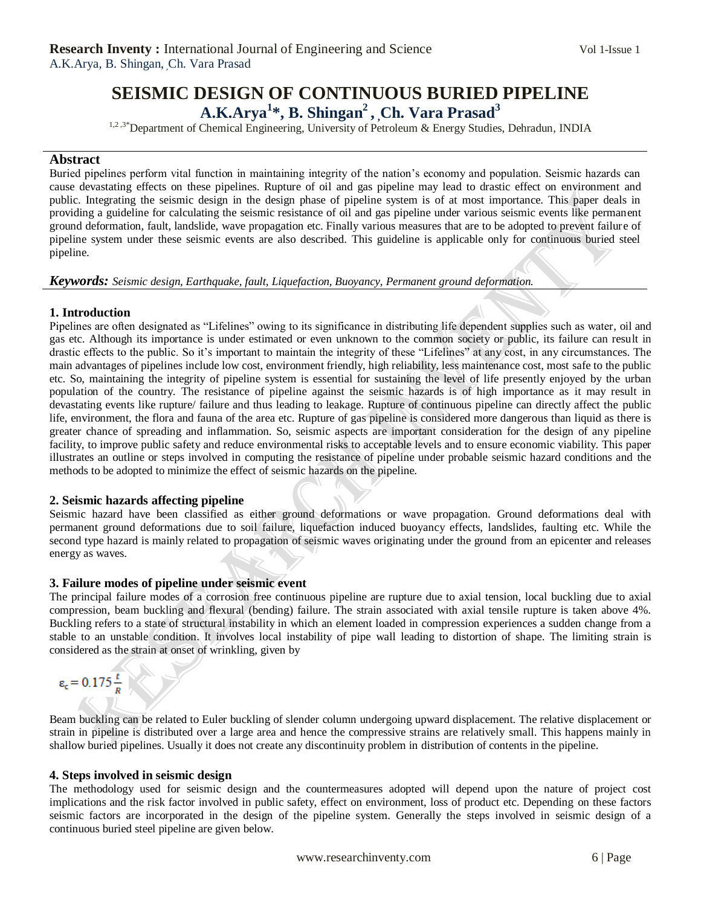# **SEISMIC DESIGN OF CONTINUOUS BURIED PIPELINE A.K.Arya<sup>1</sup> \*, B. Shingan<sup>2</sup> , ,Ch. Vara Prasad<sup>3</sup>**

<sup>1,2,3\*</sup>Department of Chemical Engineering, University of Petroleum & Energy Studies, Dehradun, INDIA

## **Abstract**

Buried pipelines perform vital function in maintaining integrity of the nation"s economy and population. Seismic hazards can cause devastating effects on these pipelines. Rupture of oil and gas pipeline may lead to drastic effect on environment and public. Integrating the seismic design in the design phase of pipeline system is of at most importance. This paper deals in providing a guideline for calculating the seismic resistance of oil and gas pipeline under various seismic events like permanent ground deformation, fault, landslide, wave propagation etc. Finally various measures that are to be adopted to prevent failure of pipeline system under these seismic events are also described. This guideline is applicable only for continuous buried steel pipeline.

#### *Keywords: Seismic design, Earthquake, fault, Liquefaction, Buoyancy, Permanent ground deformation.*

# **1. Introduction**

Pipelines are often designated as "Lifelines" owing to its significance in distributing life dependent supplies such as water, oil and gas etc. Although its importance is under estimated or even unknown to the common society or public, its failure can result in drastic effects to the public. So it"s important to maintain the integrity of these "Lifelines" at any cost, in any circumstances. The main advantages of pipelines include low cost, environment friendly, high reliability, less maintenance cost, most safe to the public etc. So, maintaining the integrity of pipeline system is essential for sustaining the level of life presently enjoyed by the urban population of the country. The resistance of pipeline against the seismic hazards is of high importance as it may result in devastating events like rupture/ failure and thus leading to leakage. Rupture of continuous pipeline can directly affect the public life, environment, the flora and fauna of the area etc. Rupture of gas pipeline is considered more dangerous than liquid as there is greater chance of spreading and inflammation. So, seismic aspects are important consideration for the design of any pipeline facility, to improve public safety and reduce environmental risks to acceptable levels and to ensure economic viability. This paper illustrates an outline or steps involved in computing the resistance of pipeline under probable seismic hazard conditions and the methods to be adopted to minimize the effect of seismic hazards on the pipeline.

# **2. Seismic hazards affecting pipeline**

Seismic hazard have been classified as either ground deformations or wave propagation. Ground deformations deal with permanent ground deformations due to soil failure, liquefaction induced buoyancy effects, landslides, faulting etc. While the second type hazard is mainly related to propagation of seismic waves originating under the ground from an epicenter and releases energy as waves.

#### **3. Failure modes of pipeline under seismic event**

The principal failure modes of a corrosion free continuous pipeline are rupture due to axial tension, local buckling due to axial compression, beam buckling and flexural (bending) failure. The strain associated with axial tensile rupture is taken above 4%. Buckling refers to a state of structural instability in which an element loaded in compression experiences a sudden change from a stable to an unstable condition. It involves local instability of pipe wall leading to distortion of shape. The limiting strain is considered as the strain at onset of wrinkling, given by

$$
\varepsilon_{\rm c}=0.175\frac{t}{R}
$$

Beam buckling can be related to Euler buckling of slender column undergoing upward displacement. The relative displacement or strain in pipeline is distributed over a large area and hence the compressive strains are relatively small. This happens mainly in shallow buried pipelines. Usually it does not create any discontinuity problem in distribution of contents in the pipeline.

#### **4. Steps involved in seismic design**

The methodology used for seismic design and the countermeasures adopted will depend upon the nature of project cost implications and the risk factor involved in public safety, effect on environment, loss of product etc. Depending on these factors seismic factors are incorporated in the design of the pipeline system. Generally the steps involved in seismic design of a continuous buried steel pipeline are given below.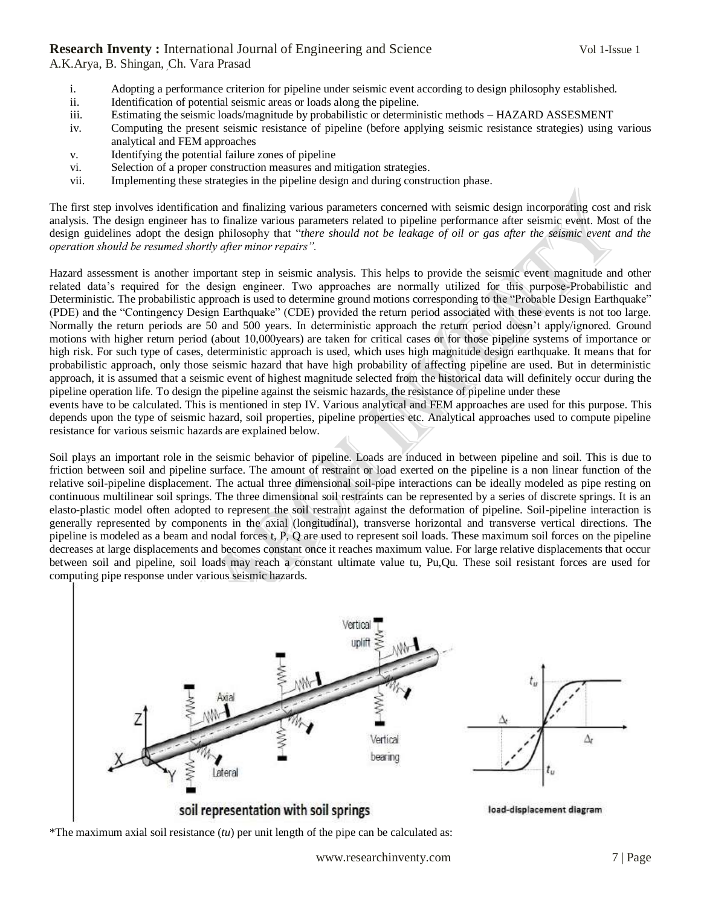A.K.Arya, B. Shingan, Ch. Vara Prasad

- i. Adopting a performance criterion for pipeline under seismic event according to design philosophy established.
- ii. Identification of potential seismic areas or loads along the pipeline.
- iii. Estimating the seismic loads/magnitude by probabilistic or deterministic methods HAZARD ASSESMENT
- iv. Computing the present seismic resistance of pipeline (before applying seismic resistance strategies) using various analytical and FEM approaches
- v. Identifying the potential failure zones of pipeline
- vi. Selection of a proper construction measures and mitigation strategies.
- vii. Implementing these strategies in the pipeline design and during construction phase.

The first step involves identification and finalizing various parameters concerned with seismic design incorporating cost and risk analysis. The design engineer has to finalize various parameters related to pipeline performance after seismic event. Most of the design guidelines adopt the design philosophy that "*there should not be leakage of oil or gas after the seismic event and the operation should be resumed shortly after minor repairs".*

Hazard assessment is another important step in seismic analysis. This helps to provide the seismic event magnitude and other related data"s required for the design engineer. Two approaches are normally utilized for this purpose-Probabilistic and Deterministic. The probabilistic approach is used to determine ground motions corresponding to the "Probable Design Earthquake" (PDE) and the "Contingency Design Earthquake" (CDE) provided the return period associated with these events is not too large. Normally the return periods are 50 and 500 years. In deterministic approach the return period doesn"t apply/ignored. Ground motions with higher return period (about 10,000years) are taken for critical cases or for those pipeline systems of importance or high risk. For such type of cases, deterministic approach is used, which uses high magnitude design earthquake. It means that for probabilistic approach, only those seismic hazard that have high probability of affecting pipeline are used. But in deterministic approach, it is assumed that a seismic event of highest magnitude selected from the historical data will definitely occur during the pipeline operation life. To design the pipeline against the seismic hazards, the resistance of pipeline under these

events have to be calculated. This is mentioned in step IV. Various analytical and FEM approaches are used for this purpose. This depends upon the type of seismic hazard, soil properties, pipeline properties etc. Analytical approaches used to compute pipeline resistance for various seismic hazards are explained below.

Soil plays an important role in the seismic behavior of pipeline. Loads are induced in between pipeline and soil. This is due to friction between soil and pipeline surface. The amount of restraint or load exerted on the pipeline is a non linear function of the relative soil-pipeline displacement. The actual three dimensional soil-pipe interactions can be ideally modeled as pipe resting on continuous multilinear soil springs. The three dimensional soil restraints can be represented by a series of discrete springs. It is an elasto-plastic model often adopted to represent the soil restraint against the deformation of pipeline. Soil-pipeline interaction is generally represented by components in the axial (longitudinal), transverse horizontal and transverse vertical directions. The pipeline is modeled as a beam and nodal forces t, P, Q are used to represent soil loads. These maximum soil forces on the pipeline decreases at large displacements and becomes constant once it reaches maximum value. For large relative displacements that occur between soil and pipeline, soil loads may reach a constant ultimate value tu, Pu,Qu. These soil resistant forces are used for computing pipe response under various seismic hazards.



\*The maximum axial soil resistance (*tu*) per unit length of the pipe can be calculated as: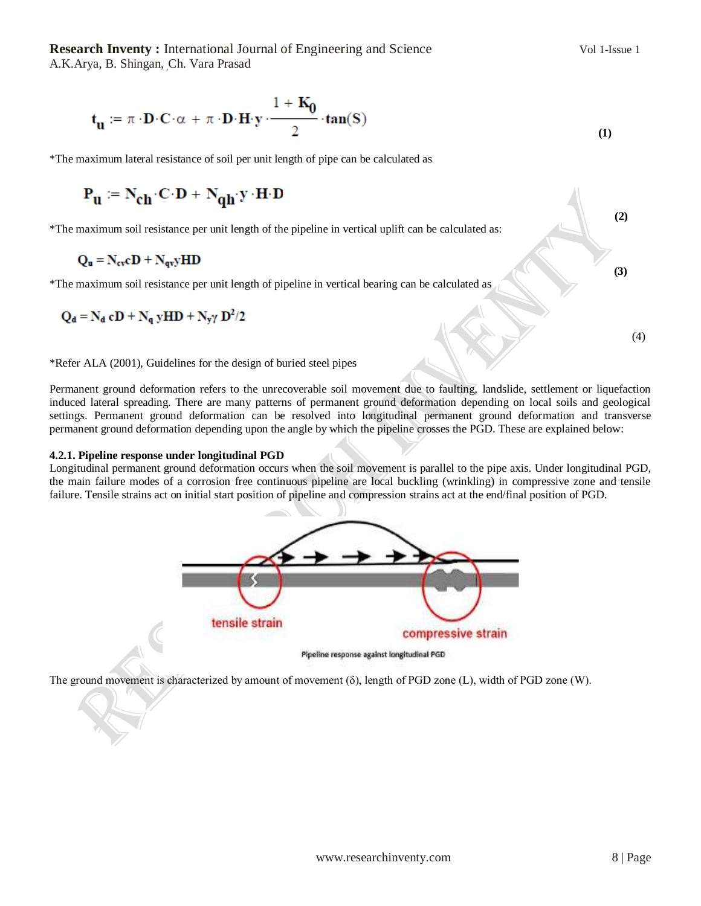$$
\mathbf{t}_{\mathbf{u}} := \pi \cdot \mathbf{D} \cdot \mathbf{C} \cdot \alpha + \pi \cdot \mathbf{D} \cdot \mathbf{H} \cdot \mathbf{y} \cdot \frac{1 + \mathbf{K}_0}{2} \cdot \tan(S)
$$
\n(1)

\*The maximum lateral resistance of soil per unit length of pipe can be calculated as

$$
\mathbf{P}_{u} \coloneqq \mathbf{N}_{ch} \!\cdot\! \mathbf{C} \!\cdot\! \mathbf{D} + \mathbf{N}_{qh} \!\cdot\! \mathbf{y} \!\cdot\! \mathbf{H} \!\cdot\! \mathbf{D}
$$

 **(2)** \*The maximum soil resistance per unit length of the pipeline in vertical uplift can be calculated as:

$$
Q_u = N_{cv}cD + N_{qv}yHD
$$

**(3)** (3) \*The maximum soil resistance per unit length of pipeline in vertical bearing can be calculated as

$$
Q_d = N_d cD + N_q yHD + N_y \gamma D^2/2
$$

\*Refer ALA (2001), Guidelines for the design of buried steel pipes

Permanent ground deformation refers to the unrecoverable soil movement due to faulting, landslide, settlement or liquefaction induced lateral spreading. There are many patterns of permanent ground deformation depending on local soils and geological settings. Permanent ground deformation can be resolved into longitudinal permanent ground deformation and transverse permanent ground deformation depending upon the angle by which the pipeline crosses the PGD. These are explained below:

#### **4.2.1. Pipeline response under longitudinal PGD**

Longitudinal permanent ground deformation occurs when the soil movement is parallel to the pipe axis. Under longitudinal PGD, the main failure modes of a corrosion free continuous pipeline are local buckling (wrinkling) in compressive zone and tensile failure. Tensile strains act on initial start position of pipeline and compression strains act at the end/final position of PGD.



Pipeline response against longitudinal PGD

The ground movement is characterized by amount of movement (δ), length of PGD zone (L), width of PGD zone (W).

(4)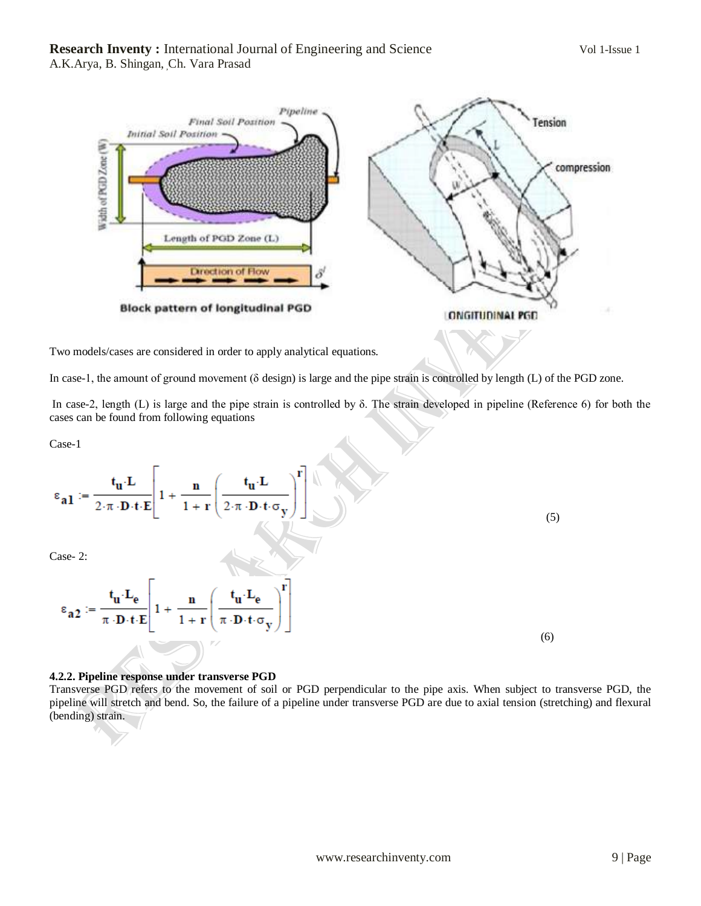

Two models/cases are considered in order to apply analytical equations.

In case-1, the amount of ground movement (δ design) is large and the pipe strain is controlled by length (L) of the PGD zone.

In case-2, length (L) is large and the pipe strain is controlled by δ. The strain developed in pipeline (Reference 6) for both the cases can be found from following equations

Case-1

$$
\epsilon_{\mathbf{a1}} := \frac{\mathbf{t}_{\mathbf{u}} \cdot \mathbf{L}}{2 \cdot \pi \cdot \mathbf{D} \cdot \mathbf{t} \cdot \mathbf{E}} \left[ 1 + \frac{\mathbf{n}}{1 + \mathbf{r}} \left( \frac{\mathbf{t}_{\mathbf{u}} \cdot \mathbf{L}}{2 \cdot \pi \cdot \mathbf{D} \cdot \mathbf{t} \cdot \sigma_{\mathbf{y}}} \right)^{\mathbf{r}} \right] \tag{5}
$$

Case- 2:

$$
\epsilon_{a2} := \frac{t_{u} \cdot L_{e}}{\pi \cdot D \cdot t \cdot E} \left[ 1 + \frac{n}{1+r} \left( \frac{t_{u} \cdot L_{e}}{\pi \cdot D \cdot t \cdot \sigma_{y}} \right)^{r} \right]
$$
\n(6)

#### **4.2.2. Pipeline response under transverse PGD**

Transverse PGD refers to the movement of soil or PGD perpendicular to the pipe axis. When subject to transverse PGD, the pipeline will stretch and bend. So, the failure of a pipeline under transverse PGD are due to axial tension (stretching) and flexural (bending) strain.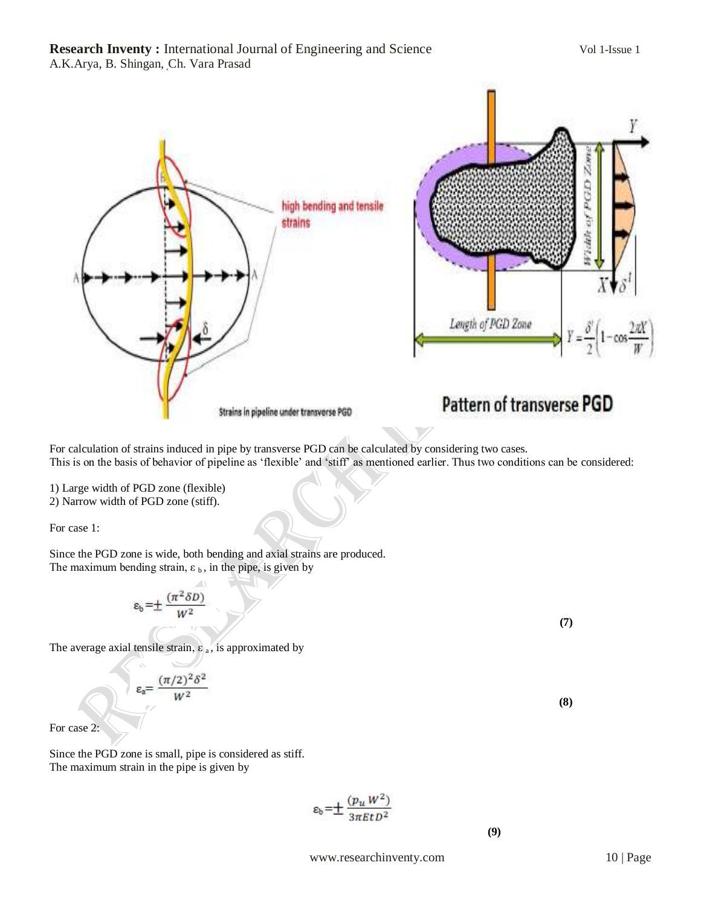# **Research Inventy :** International Journal of Engineering and Science Vol 1-Issue 1 A.K.Arya, B. Shingan, Ch. Vara Prasad



For calculation of strains induced in pipe by transverse PGD can be calculated by considering two cases. This is on the basis of behavior of pipeline as "flexible" and "stiff" as mentioned earlier. Thus two conditions can be considered:

1) Large width of PGD zone (flexible)

2) Narrow width of PGD zone (stiff).

For case 1:

Since the PGD zone is wide, both bending and axial strains are produced. The maximum bending strain,  $\varepsilon_b$ , in the pipe, is given by

$$
\epsilon_{\rm b} = \pm \frac{(\pi^2 \delta D)}{W^2}
$$

The average axial tensile strain,  $\varepsilon_a$ , is approximated by

$$
\epsilon_a = \frac{(\pi/2)^2 \delta^2}{W^2}
$$

For case 2:

Since the PGD zone is small, pipe is considered as stiff. The maximum strain in the pipe is given by

$$
\varepsilon_{\rm b} = \pm \frac{(p_u W^2)}{3\pi E t D^2}
$$

 **(9)**

 **(7)**

 **(8)**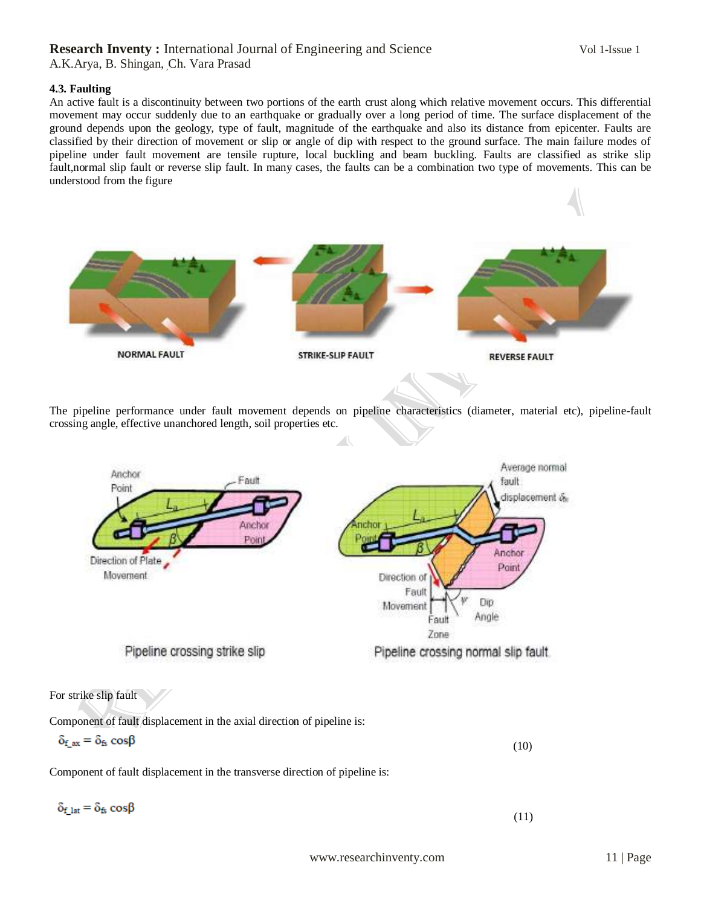#### **4.3. Faulting**

An active fault is a discontinuity between two portions of the earth crust along which relative movement occurs. This differential movement may occur suddenly due to an earthquake or gradually over a long period of time. The surface displacement of the ground depends upon the geology, type of fault, magnitude of the earthquake and also its distance from epicenter. Faults are classified by their direction of movement or slip or angle of dip with respect to the ground surface. The main failure modes of pipeline under fault movement are tensile rupture, local buckling and beam buckling. Faults are classified as strike slip fault,normal slip fault or reverse slip fault. In many cases, the faults can be a combination two type of movements. This can be understood from the figure



The pipeline performance under fault movement depends on pipeline characteristics (diameter, material etc), pipeline-fault crossing angle, effective unanchored length, soil properties etc.

 $\overline{\phantom{a}}$ 



Component of fault displacement in the axial direction of pipeline is:

$$
\delta_{f\_ax} = \delta_{f_5} \cos \beta \tag{10}
$$

Component of fault displacement in the transverse direction of pipeline is:

$$
\delta_{f\_lat} = \delta_{fs} \cos\beta
$$

(11)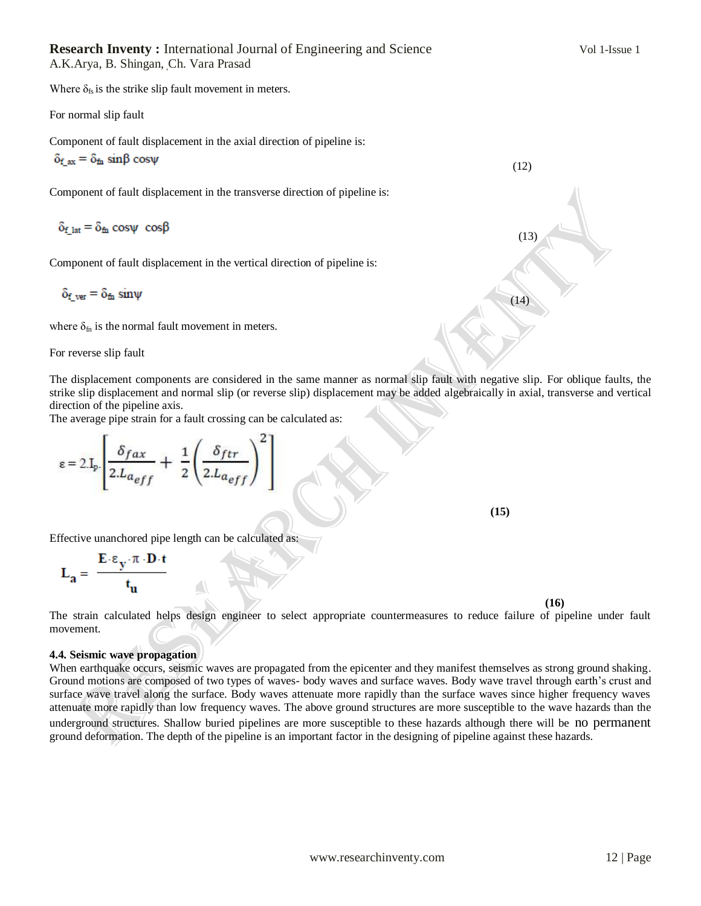Where  $\delta_{fs}$  is the strike slip fault movement in meters.

For normal slip fault

Component of fault displacement in the axial direction of pipeline is:

$$
\delta_{f\_ax} \equiv \delta_{\text{fn}} \, \, \text{sin}\beta \, \, \text{cos}\psi
$$

Component of fault displacement in the transverse direction of pipeline is:

 $\delta_{\rm f \ 1at} = \delta_{\rm fh} \cos \psi \ \cos \beta$ 

Component of fault displacement in the vertical direction of pipeline is:

$$
\delta_{f\_ver}=\delta_{\text{fn}}\,sin\psi
$$

where  $\delta_{fn}$  is the normal fault movement in meters.

For reverse slip fault

The displacement components are considered in the same manner as normal slip fault with negative slip. For oblique faults, the strike slip displacement and normal slip (or reverse slip) displacement may be added algebraically in axial, transverse and vertical direction of the pipeline axis.

(14)

(12)

(13)

The average pipe strain for a fault crossing can be calculated as:

$$
\varepsilon = 2.I_p \left[ \frac{\delta_{fax}}{2.L_{a_{eff}}} + \frac{1}{2} \left( \frac{\delta_{ftr}}{2.L_{a_{eff}}} \right)^2 \right]
$$

**(15)** (15)

Effective unanchored pipe length can be calculated as:

$$
L_a = \frac{E \cdot \epsilon_y \cdot \pi \cdot D \cdot t}{t_u}
$$

 **(16)**

The strain calculated helps design engineer to select appropriate countermeasures to reduce failure of pipeline under fault movement.

#### **4.4. Seismic wave propagation**

When earthquake occurs, seismic waves are propagated from the epicenter and they manifest themselves as strong ground shaking. Ground motions are composed of two types of waves- body waves and surface waves. Body wave travel through earth"s crust and surface wave travel along the surface. Body waves attenuate more rapidly than the surface waves since higher frequency waves attenuate more rapidly than low frequency waves. The above ground structures are more susceptible to the wave hazards than the underground structures. Shallow buried pipelines are more susceptible to these hazards although there will be no permanent ground deformation. The depth of the pipeline is an important factor in the designing of pipeline against these hazards.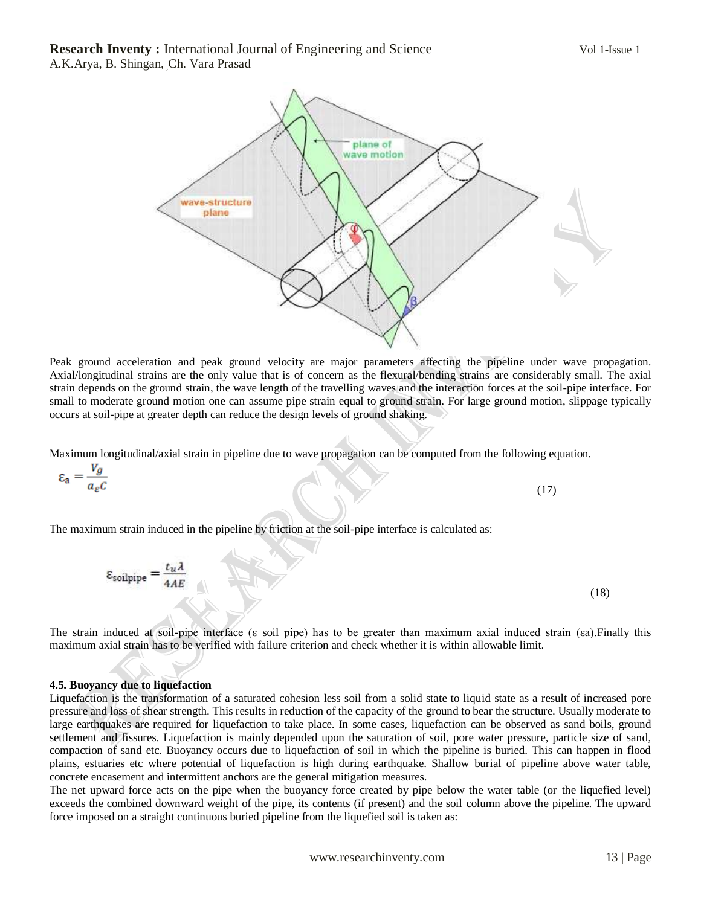

Peak ground acceleration and peak ground velocity are major parameters affecting the pipeline under wave propagation. Axial/longitudinal strains are the only value that is of concern as the flexural/bending strains are considerably small. The axial strain depends on the ground strain, the wave length of the travelling waves and the interaction forces at the soil-pipe interface. For small to moderate ground motion one can assume pipe strain equal to ground strain. For large ground motion, slippage typically occurs at soil-pipe at greater depth can reduce the design levels of ground shaking.

Maximum longitudinal/axial strain in pipeline due to wave propagation can be computed from the following equation.

 $\epsilon_{\rm a} = \frac{V_g}{a_e c}$ 

The maximum strain induced in the pipeline by friction at the soil-pipe interface is calculated as:

$$
\epsilon_{\text{soilpipe}} = \frac{t_u \lambda}{4AE}
$$

 $\sim$  (17)

(18)

The strain induced at soil-pipe interface (ε soil pipe) has to be greater than maximum axial induced strain (εa).Finally this maximum axial strain has to be verified with failure criterion and check whether it is within allowable limit.

#### **4.5. Buoyancy due to liquefaction**

Liquefaction is the transformation of a saturated cohesion less soil from a solid state to liquid state as a result of increased pore pressure and loss of shear strength. This results in reduction of the capacity of the ground to bear the structure. Usually moderate to large earthquakes are required for liquefaction to take place. In some cases, liquefaction can be observed as sand boils, ground settlement and fissures. Liquefaction is mainly depended upon the saturation of soil, pore water pressure, particle size of sand, compaction of sand etc. Buoyancy occurs due to liquefaction of soil in which the pipeline is buried. This can happen in flood plains, estuaries etc where potential of liquefaction is high during earthquake. Shallow burial of pipeline above water table, concrete encasement and intermittent anchors are the general mitigation measures.

The net upward force acts on the pipe when the buoyancy force created by pipe below the water table (or the liquefied level) exceeds the combined downward weight of the pipe, its contents (if present) and the soil column above the pipeline. The upward force imposed on a straight continuous buried pipeline from the liquefied soil is taken as: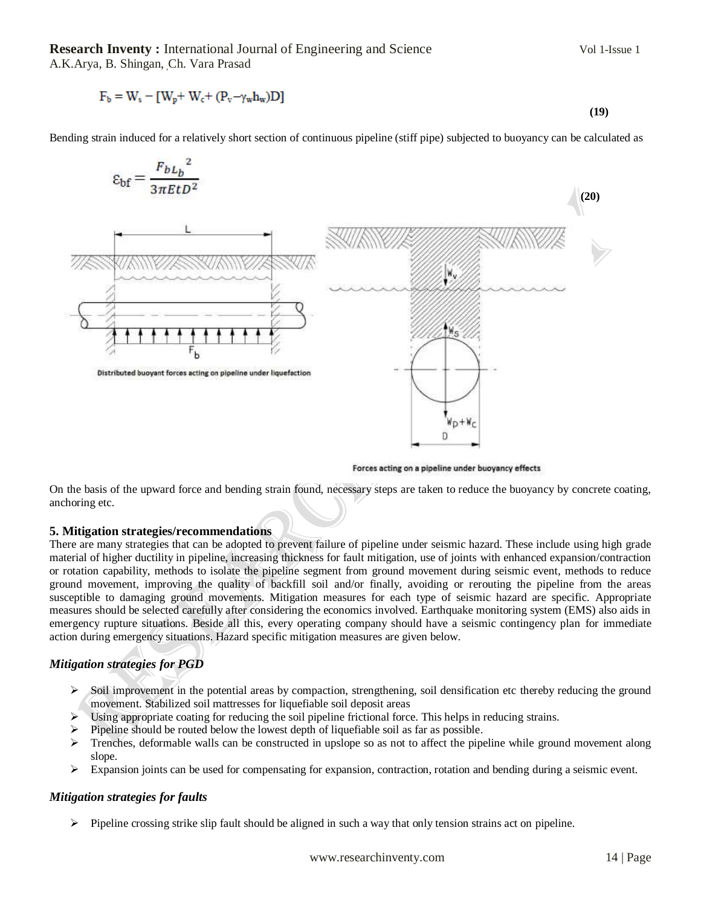**Research Inventy :** International Journal of Engineering and Science Vol 1-Issue 1 A.K.Arya, B. Shingan, Ch. Vara Prasad

$$
F_b = W_s - [W_p + W_c + (P_v - \gamma_w h_w)D]
$$
\n
$$
(19)
$$

Bending strain induced for a relatively short section of continuous pipeline (stiff pipe) subjected to buoyancy can be calculated as



Forces acting on a pipeline under buoyancy effects

On the basis of the upward force and bending strain found, necessary steps are taken to reduce the buoyancy by concrete coating, anchoring etc.

#### **5. Mitigation strategies/recommendations**

There are many strategies that can be adopted to prevent failure of pipeline under seismic hazard. These include using high grade material of higher ductility in pipeline, increasing thickness for fault mitigation, use of joints with enhanced expansion/contraction or rotation capability, methods to isolate the pipeline segment from ground movement during seismic event, methods to reduce ground movement, improving the quality of backfill soil and/or finally, avoiding or rerouting the pipeline from the areas susceptible to damaging ground movements. Mitigation measures for each type of seismic hazard are specific. Appropriate measures should be selected carefully after considering the economics involved. Earthquake monitoring system (EMS) also aids in emergency rupture situations. Beside all this, every operating company should have a seismic contingency plan for immediate action during emergency situations. Hazard specific mitigation measures are given below.

# *Mitigation strategies for PGD*

- $\triangleright$  Soil improvement in the potential areas by compaction, strengthening, soil densification etc thereby reducing the ground movement. Stabilized soil mattresses for liquefiable soil deposit areas
- $\triangleright$  Using appropriate coating for reducing the soil pipeline frictional force. This helps in reducing strains.
- Pipeline should be routed below the lowest depth of liquefiable soil as far as possible.
- $\triangleright$  Trenches, deformable walls can be constructed in upslope so as not to affect the pipeline while ground movement along slope.
- Expansion joints can be used for compensating for expansion, contraction, rotation and bending during a seismic event.

#### *Mitigation strategies for faults*

 $\triangleright$  Pipeline crossing strike slip fault should be aligned in such a way that only tension strains act on pipeline.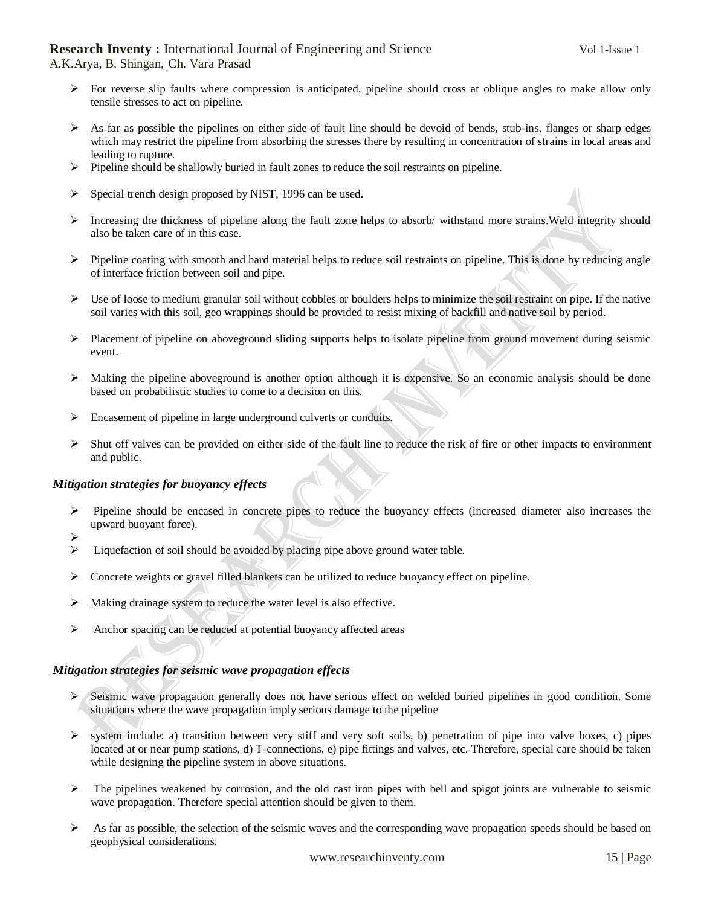A.K.Arya, B. Shingan, Ch. Vara Prasad

- $\triangleright$  For reverse slip faults where compression is anticipated, pipeline should cross at oblique angles to make allow only tensile stresses to act on pipeline.
- $\triangleright$  As far as possible the pipelines on either side of fault line should be devoid of bends, stub-ins, flanges or sharp edges which may restrict the pipeline from absorbing the stresses there by resulting in concentration of strains in local areas and leading to rupture.
- $\triangleright$  Pipeline should be shallowly buried in fault zones to reduce the soil restraints on pipeline.
- $\triangleright$  Special trench design proposed by NIST, 1996 can be used.
- Increasing the thickness of pipeline along the fault zone helps to absorb/ withstand more strains.Weld integrity should also be taken care of in this case.
- $\triangleright$  Pipeline coating with smooth and hard material helps to reduce soil restraints on pipeline. This is done by reducing angle of interface friction between soil and pipe.
- $\triangleright$  Use of loose to medium granular soil without cobbles or boulders helps to minimize the soil restraint on pipe. If the native soil varies with this soil, geo wrappings should be provided to resist mixing of backfill and native soil by period.
- $\triangleright$  Placement of pipeline on aboveground sliding supports helps to isolate pipeline from ground movement during seismic event.
- $\triangleright$  Making the pipeline aboveground is another option although it is expensive. So an economic analysis should be done based on probabilistic studies to come to a decision on this.
- $\triangleright$  Encasement of pipeline in large underground culverts or conduits.
- $\triangleright$  Shut off valves can be provided on either side of the fault line to reduce the risk of fire or other impacts to environment and public.

# *Mitigation strategies for buoyancy effects*

- $\triangleright$  Pipeline should be encased in concrete pipes to reduce the buoyancy effects (increased diameter also increases the upward buoyant force).
- $\blacktriangleright$
- $\triangleright$  Liquefaction of soil should be avoided by placing pipe above ground water table.
- $\triangleright$  Concrete weights or gravel filled blankets can be utilized to reduce buoyancy effect on pipeline.
- $\triangleright$  Making drainage system to reduce the water level is also effective.
- Anchor spacing can be reduced at potential buoyancy affected areas

# *Mitigation strategies for seismic wave propagation effects*

- $\triangleright$  Seismic wave propagation generally does not have serious effect on welded buried pipelines in good condition. Some situations where the wave propagation imply serious damage to the pipeline
- $\triangleright$  system include: a) transition between very stiff and very soft soils, b) penetration of pipe into valve boxes, c) pipes located at or near pump stations, d) T-connections, e) pipe fittings and valves, etc. Therefore, special care should be taken while designing the pipeline system in above situations.
- $\triangleright$  The pipelines weakened by corrosion, and the old cast iron pipes with bell and spigot joints are vulnerable to seismic wave propagation. Therefore special attention should be given to them.
- $\triangleright$  As far as possible, the selection of the seismic waves and the corresponding wave propagation speeds should be based on geophysical considerations.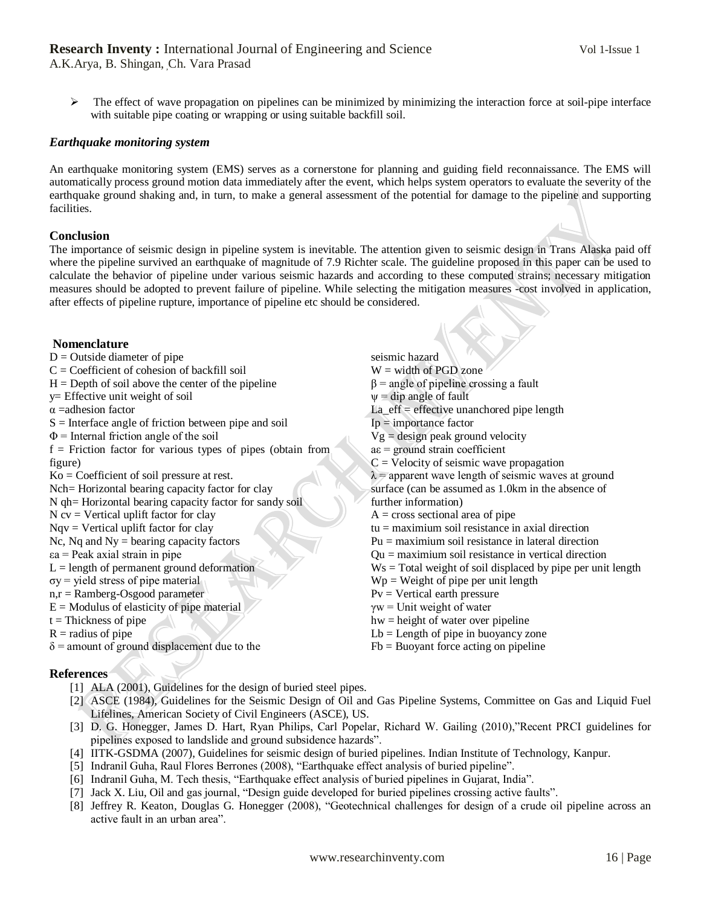A.K.Arya, B. Shingan, Ch. Vara Prasad

 $\triangleright$  The effect of wave propagation on pipelines can be minimized by minimizing the interaction force at soil-pipe interface with suitable pipe coating or wrapping or using suitable backfill soil.

## *Earthquake monitoring system*

An earthquake monitoring system (EMS) serves as a cornerstone for planning and guiding field reconnaissance. The EMS will automatically process ground motion data immediately after the event, which helps system operators to evaluate the severity of the earthquake ground shaking and, in turn, to make a general assessment of the potential for damage to the pipeline and supporting facilities.

### **Conclusion**

The importance of seismic design in pipeline system is inevitable. The attention given to seismic design in Trans Alaska paid off where the pipeline survived an earthquake of magnitude of 7.9 Richter scale. The guideline proposed in this paper can be used to calculate the behavior of pipeline under various seismic hazards and according to these computed strains; necessary mitigation measures should be adopted to prevent failure of pipeline. While selecting the mitigation measures -cost involved in application, after effects of pipeline rupture, importance of pipeline etc should be considered.

#### **Nomenclature**  $D =$ Outside diameter of pipe  $C = Coefficient of cohesion of backfill soil$  $H =$  Depth of soil above the center of the pipeline y= Effective unit weight of soil α =adhesion factor  $S =$ Interface angle of friction between pipe and soil  $\Phi$  = Internal friction angle of the soil  $f =$  Friction factor for various types of pipes (obtain from figure) Ko = Coefficient of soil pressure at rest. Nch= Horizontal bearing capacity factor for clay N qh= Horizontal bearing capacity factor for sandy soil  $N$  cv = Vertical uplift factor for clay  $Nqv = Vertical$  uplift factor for clay Nc, Nq and  $Ny =$  bearing capacity factors εa = Peak axial strain in pipe  $L =$  length of permanent ground deformation  $\sigma y$  = yield stress of pipe material n,r = Ramberg-Osgood parameter  $E =$  Modulus of elasticity of pipe material  $t = Thickness of pipe$  $R =$  radius of pipe  $\delta$  = amount of ground displacement due to the seismic hazard  $W =$  width of PGD zone  $\beta$  = angle of pipeline crossing a fault  $\psi$  = dip angle of fault  $La_{eff} =$  effective unanchored pipe length  $I_p$  = importance factor  $Vg =$  design peak ground velocity  $ae =$  ground strain coefficient  $C =$  Velocity of seismic wave propagation  $\lambda$  = apparent wave length of seismic waves at ground surface (can be assumed as 1.0km in the absence of further information)  $A = cross sectional area of pipe$ tu = maximium soil resistance in axial direction Pu = maximium soil resistance in lateral direction Qu = maximium soil resistance in vertical direction  $Ws = Total weight of soil displaced by pipe per unit length$  $Wp = Weight of pipe per unit length$  $Py = Vertical$  earth pressure  $\gamma w =$  Unit weight of water hw = height of water over pipeline  $Lb =$ Length of pipe in buoyancy zone  $Fb = B$ uoyant force acting on pipeline

# **References**

- [1] ALA (2001), Guidelines for the design of buried steel pipes.
- [2] ASCE (1984), Guidelines for the Seismic Design of Oil and Gas Pipeline Systems, Committee on Gas and Liquid Fuel Lifelines, American Society of Civil Engineers (ASCE), US.
- [3] D. G. Honegger, James D. Hart, Ryan Philips, Carl Popelar, Richard W. Gailing (2010),"Recent PRCI guidelines for pipelines exposed to landslide and ground subsidence hazards".
- [4] IITK-GSDMA (2007), Guidelines for seismic design of buried pipelines. Indian Institute of Technology, Kanpur.
- [5] Indranil Guha, Raul Flores Berrones (2008), "Earthquake effect analysis of buried pipeline".
- [6] Indranil Guha, M. Tech thesis, "Earthquake effect analysis of buried pipelines in Gujarat, India".
- [7] Jack X. Liu, Oil and gas journal, "Design guide developed for buried pipelines crossing active faults".
- [8] Jeffrey R. Keaton, Douglas G. Honegger (2008), "Geotechnical challenges for design of a crude oil pipeline across an active fault in an urban area".